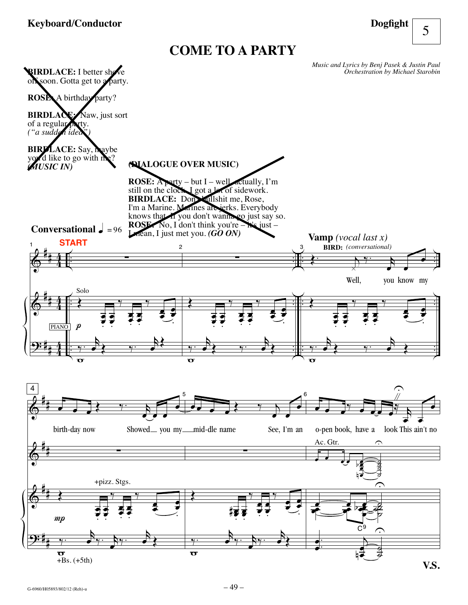## **Keyboard/Conductor**

**Dogfight**

5

## **COME TO A PARTY**

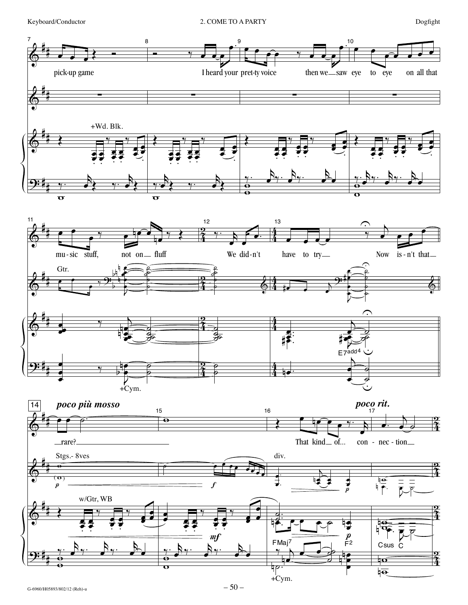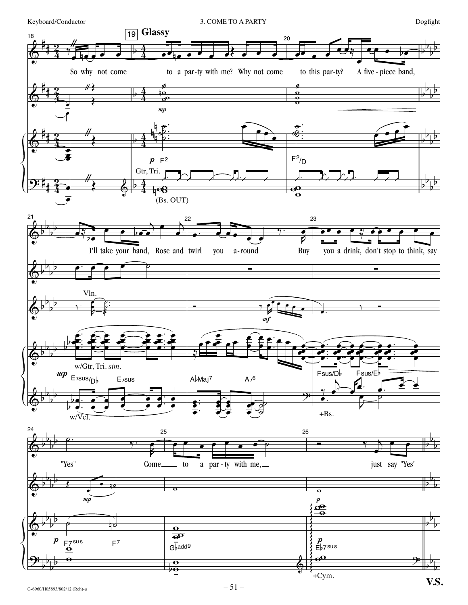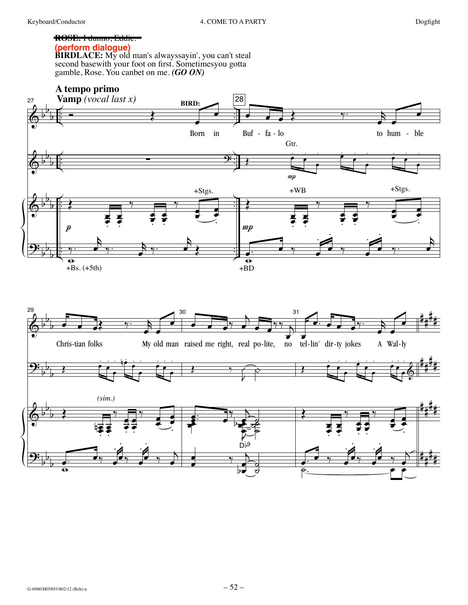## ROSE. I dunno, Eddic.

(perform dialoque)

**BIRDLACE:** My old man's alwayssayin', you can't steal<br>second basewith your foot on first. Sometimesyou gotta<br>gamble, Rose. You canbet on me. (**GO ON**)



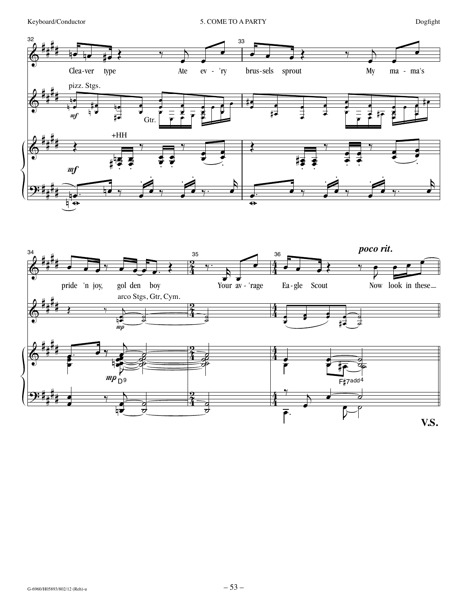

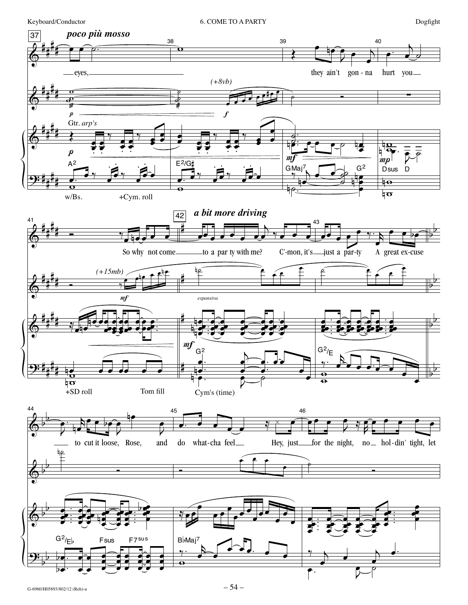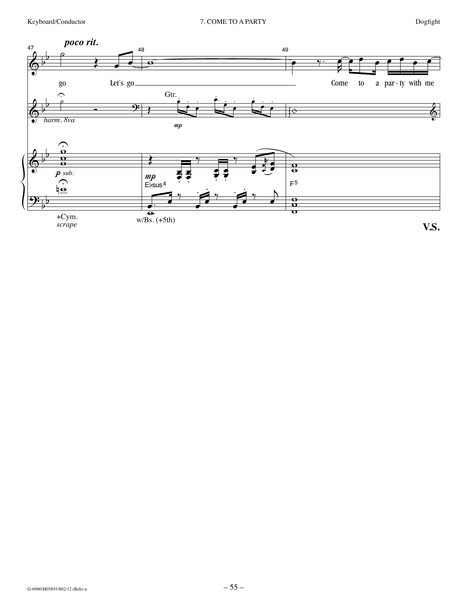